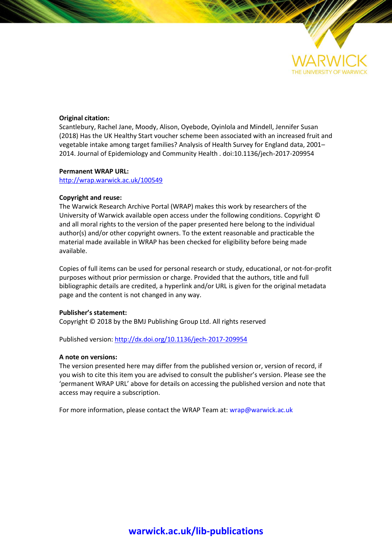

#### **Original citation:**

Scantlebury, Rachel Jane, Moody, Alison, Oyebode, Oyinlola and Mindell, Jennifer Susan (2018) Has the UK Healthy Start voucher scheme been associated with an increased fruit and vegetable intake among target families? Analysis of Health Survey for England data, 2001– 2014. Journal of Epidemiology and Community Health . doi:10.1136/jech-2017-209954

#### **Permanent WRAP URL:**

<http://wrap.warwick.ac.uk/100549>

#### **Copyright and reuse:**

The Warwick Research Archive Portal (WRAP) makes this work by researchers of the University of Warwick available open access under the following conditions. Copyright © and all moral rights to the version of the paper presented here belong to the individual author(s) and/or other copyright owners. To the extent reasonable and practicable the material made available in WRAP has been checked for eligibility before being made available.

Copies of full items can be used for personal research or study, educational, or not-for-profit purposes without prior permission or charge. Provided that the authors, title and full bibliographic details are credited, a hyperlink and/or URL is given for the original metadata page and the content is not changed in any way.

#### **Publisher's statement:**

Copyright © 2018 by the BMJ Publishing Group Ltd. All rights reserved

Published version:<http://dx.doi.org/10.1136/jech-2017-209954>

#### **A note on versions:**

The version presented here may differ from the published version or, version of record, if you wish to cite this item you are advised to consult the publisher's version. Please see the 'permanent WRAP URL' above for details on accessing the published version and note that access may require a subscription.

For more information, please contact the WRAP Team at[: wrap@warwick.ac.uk](mailto:wrap@warwick.ac.uk)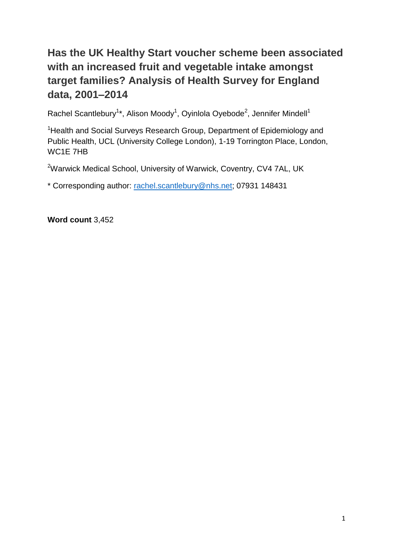# **Has the UK Healthy Start voucher scheme been associated with an increased fruit and vegetable intake amongst target families? Analysis of Health Survey for England data, 2001–2014**

Rachel Scantlebury<sup>1\*</sup>, Alison Moody<sup>1</sup>, Oyinlola Oyebode<sup>2</sup>, Jennifer Mindell<sup>1</sup>

<sup>1</sup> Health and Social Surveys Research Group, Department of Epidemiology and Public Health, UCL (University College London), 1-19 Torrington Place, London, WC1E 7HB

<sup>2</sup>Warwick Medical School, University of Warwick, Coventry, CV4 7AL, UK

\* Corresponding author: [rachel.scantlebury@nhs.net;](mailto:rachel.scantlebury@nhs.net) 07931 148431

**Word count** 3,452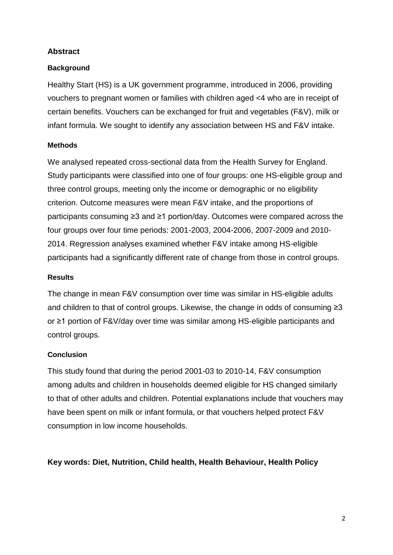#### **Abstract**

#### **Background**

Healthy Start (HS) is a UK government programme, introduced in 2006, providing vouchers to pregnant women or families with children aged <4 who are in receipt of certain benefits. Vouchers can be exchanged for fruit and vegetables (F&V), milk or infant formula. We sought to identify any association between HS and F&V intake.

#### **Methods**

We analysed repeated cross-sectional data from the Health Survey for England. Study participants were classified into one of four groups: one HS-eligible group and three control groups, meeting only the income or demographic or no eligibility criterion. Outcome measures were mean F&V intake, and the proportions of participants consuming ≥3 and ≥1 portion/day. Outcomes were compared across the four groups over four time periods: 2001-2003, 2004-2006, 2007-2009 and 2010- 2014. Regression analyses examined whether F&V intake among HS-eligible participants had a significantly different rate of change from those in control groups.

#### **Results**

The change in mean F&V consumption over time was similar in HS-eligible adults and children to that of control groups. Likewise, the change in odds of consuming ≥3 or ≥1 portion of F&V/day over time was similar among HS-eligible participants and control groups.

## **Conclusion**

This study found that during the period 2001-03 to 2010-14, F&V consumption among adults and children in households deemed eligible for HS changed similarly to that of other adults and children. Potential explanations include that vouchers may have been spent on milk or infant formula, or that vouchers helped protect F&V consumption in low income households.

## **Key words: Diet, Nutrition, Child health, Health Behaviour, Health Policy**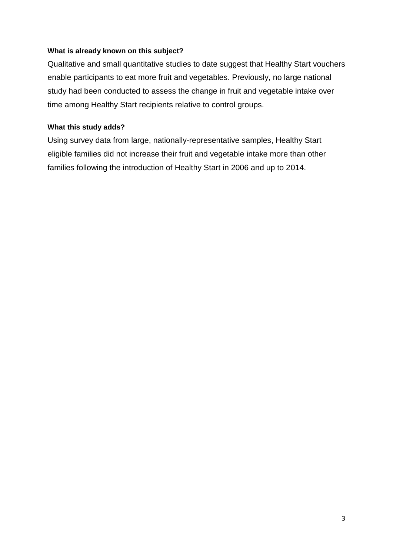#### **What is already known on this subject?**

Qualitative and small quantitative studies to date suggest that Healthy Start vouchers enable participants to eat more fruit and vegetables. Previously, no large national study had been conducted to assess the change in fruit and vegetable intake over time among Healthy Start recipients relative to control groups.

## **What this study adds?**

Using survey data from large, nationally-representative samples, Healthy Start eligible families did not increase their fruit and vegetable intake more than other families following the introduction of Healthy Start in 2006 and up to 2014.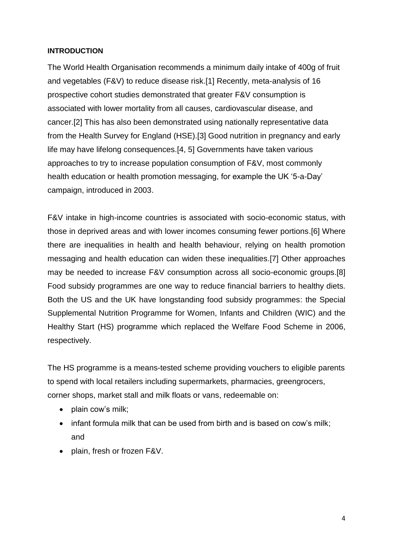#### **INTRODUCTION**

The World Health Organisation recommends a minimum daily intake of 400g of fruit and vegetables (F&V) to reduce disease risk.[1] Recently, meta-analysis of 16 prospective cohort studies demonstrated that greater F&V consumption is associated with lower mortality from all causes, cardiovascular disease, and cancer.[2] This has also been demonstrated using nationally representative data from the Health Survey for England (HSE).[3] Good nutrition in pregnancy and early life may have lifelong consequences.[4, 5] Governments have taken various approaches to try to increase population consumption of F&V, most commonly health education or health promotion messaging, for example the UK '5-a-Day' campaign, introduced in 2003.

F&V intake in high-income countries is associated with socio-economic status, with those in deprived areas and with lower incomes consuming fewer portions.[6] Where there are inequalities in health and health behaviour, relying on health promotion messaging and health education can widen these inequalities.[7] Other approaches may be needed to increase F&V consumption across all socio-economic groups.[8] Food subsidy programmes are one way to reduce financial barriers to healthy diets. Both the US and the UK have longstanding food subsidy programmes: the Special Supplemental Nutrition Programme for Women, Infants and Children (WIC) and the Healthy Start (HS) programme which replaced the Welfare Food Scheme in 2006, respectively.

The HS programme is a means-tested scheme providing vouchers to eligible parents to spend with local retailers including supermarkets, pharmacies, greengrocers, corner shops, market stall and milk floats or vans, redeemable on:

- plain cow's milk;
- infant formula milk that can be used from birth and is based on cow's milk: and
- plain, fresh or frozen F&V.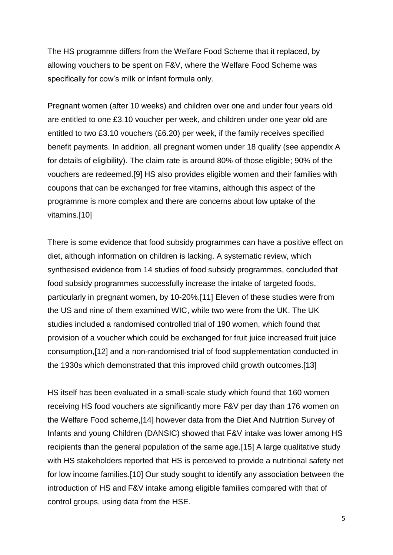The HS programme differs from the Welfare Food Scheme that it replaced, by allowing vouchers to be spent on F&V, where the Welfare Food Scheme was specifically for cow's milk or infant formula only.

Pregnant women (after 10 weeks) and children over one and under four years old are entitled to one £3.10 voucher per week, and children under one year old are entitled to two £3.10 vouchers (£6.20) per week, if the family receives specified benefit payments. In addition, all pregnant women under 18 qualify (see appendix A for details of eligibility). The claim rate is around 80% of those eligible; 90% of the vouchers are redeemed.[9] HS also provides eligible women and their families with coupons that can be exchanged for free vitamins, although this aspect of the programme is more complex and there are concerns about low uptake of the vitamins.[10]

There is some evidence that food subsidy programmes can have a positive effect on diet, although information on children is lacking. A systematic review, which synthesised evidence from 14 studies of food subsidy programmes, concluded that food subsidy programmes successfully increase the intake of targeted foods, particularly in pregnant women, by 10-20%.[11] Eleven of these studies were from the US and nine of them examined WIC, while two were from the UK. The UK studies included a randomised controlled trial of 190 women, which found that provision of a voucher which could be exchanged for fruit juice increased fruit juice consumption,[12] and a non-randomised trial of food supplementation conducted in the 1930s which demonstrated that this improved child growth outcomes.[13]

HS itself has been evaluated in a small-scale study which found that 160 women receiving HS food vouchers ate significantly more F&V per day than 176 women on the Welfare Food scheme,[14] however data from the Diet And Nutrition Survey of Infants and young Children (DANSIC) showed that F&V intake was lower among HS recipients than the general population of the same age.[15] A large qualitative study with HS stakeholders reported that HS is perceived to provide a nutritional safety net for low income families.[10] Our study sought to identify any association between the introduction of HS and F&V intake among eligible families compared with that of control groups, using data from the HSE.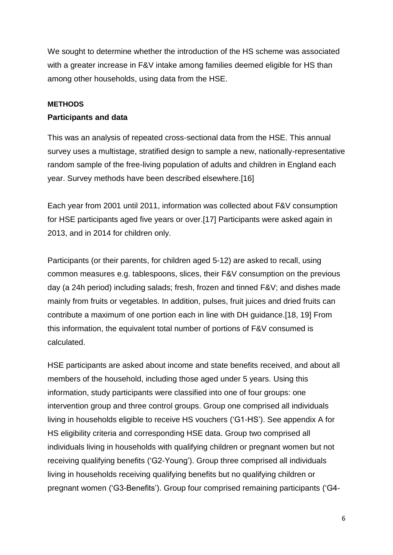We sought to determine whether the introduction of the HS scheme was associated with a greater increase in F&V intake among families deemed eligible for HS than among other households, using data from the HSE.

#### **METHODS**

#### **Participants and data**

This was an analysis of repeated cross-sectional data from the HSE. This annual survey uses a multistage, stratified design to sample a new, nationally-representative random sample of the free-living population of adults and children in England each year. Survey methods have been described elsewhere.[16]

Each year from 2001 until 2011, information was collected about F&V consumption for HSE participants aged five years or over.[17] Participants were asked again in 2013, and in 2014 for children only.

Participants (or their parents, for children aged 5-12) are asked to recall, using common measures e.g. tablespoons, slices, their F&V consumption on the previous day (a 24h period) including salads; fresh, frozen and tinned F&V; and dishes made mainly from fruits or vegetables. In addition, pulses, fruit juices and dried fruits can contribute a maximum of one portion each in line with DH guidance.[18, 19] From this information, the equivalent total number of portions of F&V consumed is calculated.

HSE participants are asked about income and state benefits received, and about all members of the household, including those aged under 5 years. Using this information, study participants were classified into one of four groups: one intervention group and three control groups. Group one comprised all individuals living in households eligible to receive HS vouchers ('G1-HS'). See appendix A for HS eligibility criteria and corresponding HSE data. Group two comprised all individuals living in households with qualifying children or pregnant women but not receiving qualifying benefits ('G2-Young'). Group three comprised all individuals living in households receiving qualifying benefits but no qualifying children or pregnant women ('G3-Benefits'). Group four comprised remaining participants ('G4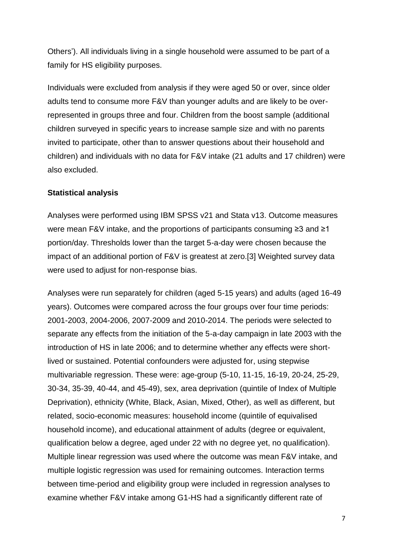Others'). All individuals living in a single household were assumed to be part of a family for HS eligibility purposes.

Individuals were excluded from analysis if they were aged 50 or over, since older adults tend to consume more F&V than younger adults and are likely to be overrepresented in groups three and four. Children from the boost sample (additional children surveyed in specific years to increase sample size and with no parents invited to participate, other than to answer questions about their household and children) and individuals with no data for F&V intake (21 adults and 17 children) were also excluded.

#### **Statistical analysis**

Analyses were performed using IBM SPSS v21 and Stata v13. Outcome measures were mean F&V intake, and the proportions of participants consuming ≥3 and ≥1 portion/day. Thresholds lower than the target 5-a-day were chosen because the impact of an additional portion of F&V is greatest at zero.[3] Weighted survey data were used to adjust for non-response bias.

Analyses were run separately for children (aged 5-15 years) and adults (aged 16-49 years). Outcomes were compared across the four groups over four time periods: 2001-2003, 2004-2006, 2007-2009 and 2010-2014. The periods were selected to separate any effects from the initiation of the 5-a-day campaign in late 2003 with the introduction of HS in late 2006; and to determine whether any effects were shortlived or sustained. Potential confounders were adjusted for, using stepwise multivariable regression. These were: age-group (5-10, 11-15, 16-19, 20-24, 25-29, 30-34, 35-39, 40-44, and 45-49), sex, area deprivation (quintile of Index of Multiple Deprivation), ethnicity (White, Black, Asian, Mixed, Other), as well as different, but related, socio-economic measures: household income (quintile of equivalised household income), and educational attainment of adults (degree or equivalent, qualification below a degree, aged under 22 with no degree yet, no qualification). Multiple linear regression was used where the outcome was mean F&V intake, and multiple logistic regression was used for remaining outcomes. Interaction terms between time-period and eligibility group were included in regression analyses to examine whether F&V intake among G1-HS had a significantly different rate of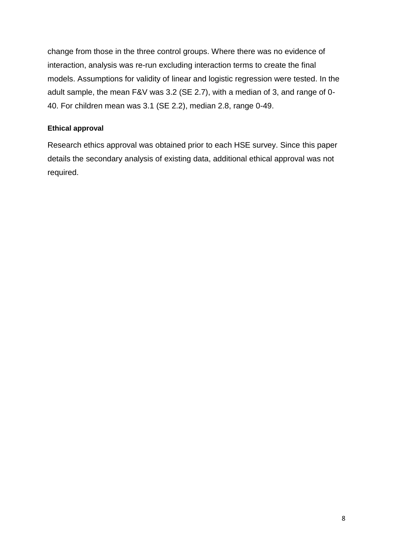change from those in the three control groups. Where there was no evidence of interaction, analysis was re-run excluding interaction terms to create the final models. Assumptions for validity of linear and logistic regression were tested. In the adult sample, the mean F&V was 3.2 (SE 2.7), with a median of 3, and range of 0- 40. For children mean was 3.1 (SE 2.2), median 2.8, range 0-49.

#### **Ethical approval**

Research ethics approval was obtained prior to each HSE survey. Since this paper details the secondary analysis of existing data, additional ethical approval was not required.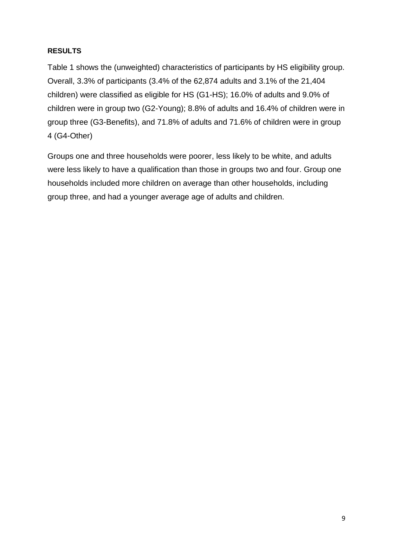#### **RESULTS**

Table 1 shows the (unweighted) characteristics of participants by HS eligibility group. Overall, 3.3% of participants (3.4% of the 62,874 adults and 3.1% of the 21,404 children) were classified as eligible for HS (G1-HS); 16.0% of adults and 9.0% of children were in group two (G2-Young); 8.8% of adults and 16.4% of children were in group three (G3-Benefits), and 71.8% of adults and 71.6% of children were in group 4 (G4-Other)

Groups one and three households were poorer, less likely to be white, and adults were less likely to have a qualification than those in groups two and four. Group one households included more children on average than other households, including group three, and had a younger average age of adults and children.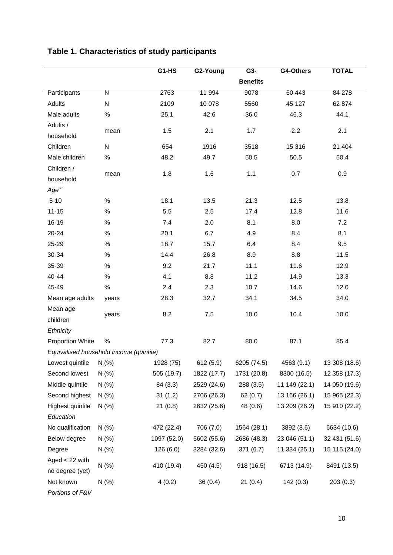|                                         |                | G1-HS       | G2-Young    | G3-             | G4-Others     | <b>TOTAL</b>  |
|-----------------------------------------|----------------|-------------|-------------|-----------------|---------------|---------------|
|                                         |                |             |             | <b>Benefits</b> |               |               |
| Participants                            | $\overline{N}$ | 2763        | 11 994      | 9078            | 60 443        | 84 278        |
| Adults                                  | ${\sf N}$      | 2109        | 10 078      | 5560            | 45 127        | 62 874        |
| Male adults                             | $\%$           | 25.1        | 42.6        | 36.0            | 46.3          | 44.1          |
| Adults /                                |                |             |             |                 |               |               |
| household                               | mean           | 1.5         | 2.1         | 1.7             | 2.2           | 2.1           |
| Children                                | ${\sf N}$      | 654         | 1916        | 3518            | 15 316        | 21 404        |
| Male children                           | $\%$           | 48.2        | 49.7        | 50.5            | 50.5          | 50.4          |
| Children /                              |                |             |             |                 |               |               |
| household                               | mean           | 1.8         | 1.6         | 1.1             | 0.7           | 0.9           |
| Age <sup>a</sup>                        |                |             |             |                 |               |               |
| $5 - 10$                                | $\%$           | 18.1        | 13.5        | 21.3            | 12.5          | 13.8          |
| $11 - 15$                               | $\%$           | 5.5         | 2.5         | 17.4            | 12.8          | 11.6          |
| 16-19                                   | $\%$           | 7.4         | 2.0         | 8.1             | 8.0           | 7.2           |
| 20-24                                   | $\%$           | 20.1        | 6.7         | 4.9             | 8.4           | 8.1           |
| 25-29                                   | $\%$           | 18.7        | 15.7        | 6.4             | 8.4           | 9.5           |
| 30-34                                   | $\%$           | 14.4        | 26.8        | 8.9             | 8.8           | 11.5          |
| 35-39                                   | $\%$           | 9.2         | 21.7        | 11.1            | 11.6          | 12.9          |
| 40-44                                   | $\%$           | 4.1         | 8.8         | 11.2            | 14.9          | 13.3          |
| 45-49                                   | $\%$           | 2.4         | 2.3         | 10.7            | 14.6          | 12.0          |
| Mean age adults                         | years          | 28.3        | 32.7        | 34.1            | 34.5          | 34.0          |
| Mean age                                |                |             |             |                 |               |               |
| children                                | years          | 8.2         | 7.5         | 10.0            | 10.4          | 10.0          |
| Ethnicity                               |                |             |             |                 |               |               |
| <b>Proportion White</b>                 | $\%$           | 77.3        | 82.7        | 80.0            | 87.1          | 85.4          |
| Equivalised household income (quintile) |                |             |             |                 |               |               |
| Lowest quintile                         | N(% )          | 1928 (75)   | 612(5.9)    | 6205 (74.5)     | 4563 (9.1)    | 13 308 (18.6) |
| Second lowest                           | N(% )          | 505 (19.7)  | 1822 (17.7) | 1731 (20.8)     | 8300 (16.5)   | 12 358 (17.3) |
| Middle quintile                         | N(% )          | 84 (3.3)    | 2529 (24.6) | 288 (3.5)       | 11 149 (22.1) | 14 050 (19.6) |
| Second highest                          | N(% )          | 31(1.2)     | 2706 (26.3) | 62(0.7)         | 13 166 (26.1) | 15 965 (22.3) |
| Highest quintile                        | N(% )          | 21(0.8)     | 2632 (25.6) | 48 (0.6)        | 13 209 (26.2) | 15 910 (22.2) |
| Education                               |                |             |             |                 |               |               |
| No qualification                        | N(% )          | 472 (22.4)  | 706 (7.0)   | 1564 (28.1)     | 3892 (8.6)    | 6634 (10.6)   |
| Below degree                            | N(% )          | 1097 (52.0) | 5602 (55.6) | 2686 (48.3)     | 23 046 (51.1) | 32 431 (51.6) |
| Degree                                  | N(% )          | 126(6.0)    | 3284 (32.6) | 371(6.7)        | 11 334 (25.1) | 15 115 (24.0) |
| Aged $<$ 22 with                        |                |             |             |                 |               |               |
| no degree (yet)                         | N(% )          | 410 (19.4)  | 450 (4.5)   | 918 (16.5)      | 6713 (14.9)   | 8491 (13.5)   |
| Not known                               | $N$ (%)        | 4(0.2)      | 36(0.4)     | 21(0.4)         | 142(0.3)      | 203(0.3)      |
| Portions of F&V                         |                |             |             |                 |               |               |

## **Table 1. Characteristics of study participants**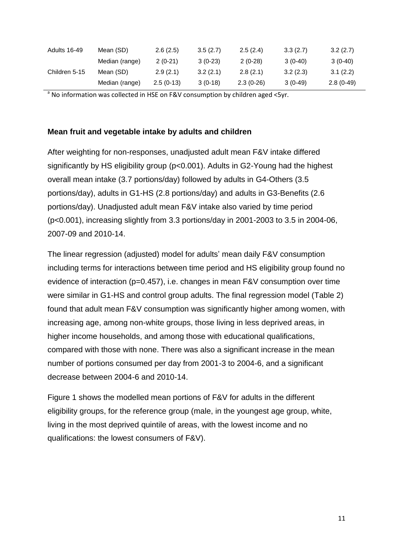| Adults 16-49  | Mean (SD)      | 2.6(2.5)    | 3.5(2.7)  | 2.5(2.4)    | 3.3(2.7)  | 3.2(2.7)    |
|---------------|----------------|-------------|-----------|-------------|-----------|-------------|
|               | Median (range) | $2(0-21)$   | $3(0-23)$ | $2(0-28)$   | $3(0-40)$ | $3(0-40)$   |
| Children 5-15 | Mean (SD)      | 2.9(2.1)    | 3.2(2.1)  | 2.8(2.1)    | 3.2(2.3)  | 3.1(2.2)    |
|               | Median (range) | $2.5(0-13)$ | $3(0-18)$ | $2.3(0-26)$ | $3(0-49)$ | $2.8(0-49)$ |

<sup>a</sup> No information was collected in HSE on F&V consumption by children aged <5yr.

#### **Mean fruit and vegetable intake by adults and children**

After weighting for non-responses, unadjusted adult mean F&V intake differed significantly by HS eligibility group (p<0.001). Adults in G2-Young had the highest overall mean intake (3.7 portions/day) followed by adults in G4-Others (3.5 portions/day), adults in G1-HS (2.8 portions/day) and adults in G3-Benefits (2.6 portions/day). Unadjusted adult mean F&V intake also varied by time period (p<0.001), increasing slightly from 3.3 portions/day in 2001-2003 to 3.5 in 2004-06, 2007-09 and 2010-14.

The linear regression (adjusted) model for adults' mean daily F&V consumption including terms for interactions between time period and HS eligibility group found no evidence of interaction (p=0.457), i.e. changes in mean F&V consumption over time were similar in G1-HS and control group adults. The final regression model (Table 2) found that adult mean F&V consumption was significantly higher among women, with increasing age, among non-white groups, those living in less deprived areas, in higher income households, and among those with educational qualifications, compared with those with none. There was also a significant increase in the mean number of portions consumed per day from 2001-3 to 2004-6, and a significant decrease between 2004-6 and 2010-14.

Figure 1 shows the modelled mean portions of F&V for adults in the different eligibility groups, for the reference group (male, in the youngest age group, white, living in the most deprived quintile of areas, with the lowest income and no qualifications: the lowest consumers of F&V).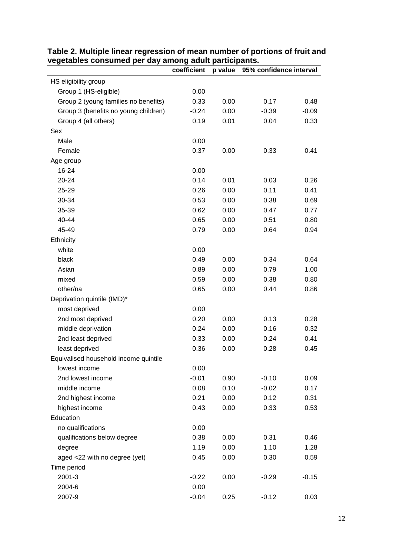|                                       | coefficient | p value | 95% confidence interval |         |
|---------------------------------------|-------------|---------|-------------------------|---------|
| HS eligibility group                  |             |         |                         |         |
| Group 1 (HS-eligible)                 | 0.00        |         |                         |         |
| Group 2 (young families no benefits)  | 0.33        | 0.00    | 0.17                    | 0.48    |
| Group 3 (benefits no young children)  | $-0.24$     | 0.00    | $-0.39$                 | $-0.09$ |
| Group 4 (all others)                  | 0.19        | 0.01    | 0.04                    | 0.33    |
| Sex                                   |             |         |                         |         |
| Male                                  | 0.00        |         |                         |         |
| Female                                | 0.37        | 0.00    | 0.33                    | 0.41    |
| Age group                             |             |         |                         |         |
| 16-24                                 | 0.00        |         |                         |         |
| $20 - 24$                             | 0.14        | 0.01    | 0.03                    | 0.26    |
| 25-29                                 | 0.26        | 0.00    | 0.11                    | 0.41    |
| 30-34                                 | 0.53        | 0.00    | 0.38                    | 0.69    |
| 35-39                                 | 0.62        | 0.00    | 0.47                    | 0.77    |
| 40-44                                 | 0.65        | 0.00    | 0.51                    | 0.80    |
| 45-49                                 | 0.79        | 0.00    | 0.64                    | 0.94    |
| Ethnicity                             |             |         |                         |         |
| white                                 | 0.00        |         |                         |         |
| black                                 | 0.49        | 0.00    | 0.34                    | 0.64    |
| Asian                                 | 0.89        | 0.00    | 0.79                    | 1.00    |
| mixed                                 | 0.59        | 0.00    | 0.38                    | 0.80    |
| other/na                              | 0.65        | 0.00    | 0.44                    | 0.86    |
| Deprivation quintile (IMD)*           |             |         |                         |         |
| most deprived                         | 0.00        |         |                         |         |
| 2nd most deprived                     | 0.20        | 0.00    | 0.13                    | 0.28    |
| middle deprivation                    | 0.24        | 0.00    | 0.16                    | 0.32    |
| 2nd least deprived                    | 0.33        | 0.00    | 0.24                    | 0.41    |
| least deprived                        | 0.36        | 0.00    | 0.28                    | 0.45    |
| Equivalised household income quintile |             |         |                         |         |
| lowest income                         | 0.00        |         |                         |         |
| 2nd lowest income                     | $-0.01$     | 0.90    | $-0.10$                 | 0.09    |
| middle income                         | 0.08        | 0.10    | $-0.02$                 | 0.17    |
| 2nd highest income                    | 0.21        | 0.00    | 0.12                    | 0.31    |
| highest income                        | 0.43        | 0.00    | 0.33                    | 0.53    |
| Education                             |             |         |                         |         |
| no qualifications                     | 0.00        |         |                         |         |
| qualifications below degree           | 0.38        | 0.00    | 0.31                    | 0.46    |
| degree                                | 1.19        | 0.00    | 1.10                    | 1.28    |
| aged <22 with no degree (yet)         | 0.45        | 0.00    | 0.30                    | 0.59    |
| Time period                           |             |         |                         |         |
| 2001-3                                | $-0.22$     | 0.00    | $-0.29$                 | $-0.15$ |
| 2004-6                                | 0.00        |         |                         |         |
| 2007-9                                | $-0.04$     | 0.25    | $-0.12$                 | 0.03    |

|                                                       | Table 2. Multiple linear regression of mean number of portions of fruit and |
|-------------------------------------------------------|-----------------------------------------------------------------------------|
| vegetables consumed per day among adult participants. |                                                                             |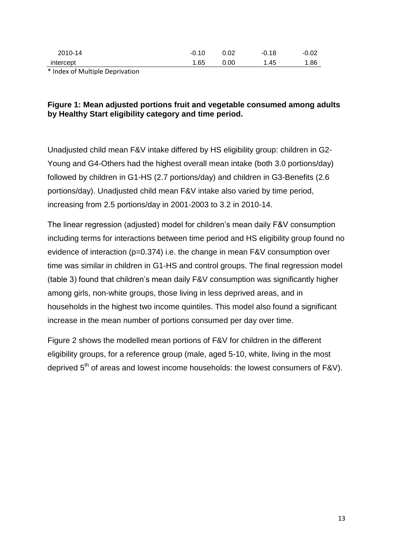| 2010-14                                                        | $-0.10$ | 0.02 | $-0.18$   | $-0.02$ |
|----------------------------------------------------------------|---------|------|-----------|---------|
| intercept                                                      | 1.65    | 0.00 | . 45<br>л | 1.86    |
| $\mathbf{a}$ , $\mathbf{a}$ , $\mathbf{a}$ , $\mathbf{a}$<br>. |         |      |           |         |

\* Index of Multiple Deprivation

#### **Figure 1: Mean adjusted portions fruit and vegetable consumed among adults by Healthy Start eligibility category and time period.**

Unadjusted child mean F&V intake differed by HS eligibility group: children in G2- Young and G4-Others had the highest overall mean intake (both 3.0 portions/day) followed by children in G1-HS (2.7 portions/day) and children in G3-Benefits (2.6 portions/day). Unadjusted child mean F&V intake also varied by time period, increasing from 2.5 portions/day in 2001-2003 to 3.2 in 2010-14.

The linear regression (adjusted) model for children's mean daily F&V consumption including terms for interactions between time period and HS eligibility group found no evidence of interaction (p=0.374) i.e. the change in mean F&V consumption over time was similar in children in G1-HS and control groups. The final regression model (table 3) found that children's mean daily F&V consumption was significantly higher among girls, non-white groups, those living in less deprived areas, and in households in the highest two income quintiles. This model also found a significant increase in the mean number of portions consumed per day over time.

Figure 2 shows the modelled mean portions of F&V for children in the different eligibility groups, for a reference group (male, aged 5-10, white, living in the most deprived  $5<sup>th</sup>$  of areas and lowest income households: the lowest consumers of F&V).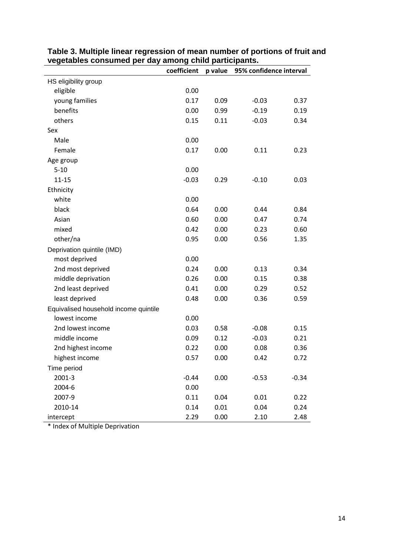|                                       | coefficient | p value | 95% confidence interval |         |
|---------------------------------------|-------------|---------|-------------------------|---------|
| HS eligibility group                  |             |         |                         |         |
| eligible                              | 0.00        |         |                         |         |
| young families                        | 0.17        | 0.09    | $-0.03$                 | 0.37    |
| benefits                              | 0.00        | 0.99    | $-0.19$                 | 0.19    |
| others                                | 0.15        | 0.11    | $-0.03$                 | 0.34    |
| Sex                                   |             |         |                         |         |
| Male                                  | 0.00        |         |                         |         |
| Female                                | 0.17        | 0.00    | 0.11                    | 0.23    |
| Age group                             |             |         |                         |         |
| $5 - 10$                              | 0.00        |         |                         |         |
| $11 - 15$                             | $-0.03$     | 0.29    | $-0.10$                 | 0.03    |
| Ethnicity                             |             |         |                         |         |
| white                                 | 0.00        |         |                         |         |
| black                                 | 0.64        | 0.00    | 0.44                    | 0.84    |
| Asian                                 | 0.60        | 0.00    | 0.47                    | 0.74    |
| mixed                                 | 0.42        | 0.00    | 0.23                    | 0.60    |
| other/na                              | 0.95        | 0.00    | 0.56                    | 1.35    |
| Deprivation quintile (IMD)            |             |         |                         |         |
| most deprived                         | 0.00        |         |                         |         |
| 2nd most deprived                     | 0.24        | 0.00    | 0.13                    | 0.34    |
| middle deprivation                    | 0.26        | 0.00    | 0.15                    | 0.38    |
| 2nd least deprived                    | 0.41        | 0.00    | 0.29                    | 0.52    |
| least deprived                        | 0.48        | 0.00    | 0.36                    | 0.59    |
| Equivalised household income quintile |             |         |                         |         |
| lowest income                         | 0.00        |         |                         |         |
| 2nd lowest income                     | 0.03        | 0.58    | $-0.08$                 | 0.15    |
| middle income                         | 0.09        | 0.12    | $-0.03$                 | 0.21    |
| 2nd highest income                    | 0.22        | 0.00    | 0.08                    | 0.36    |
| highest income                        | 0.57        | 0.00    | 0.42                    | 0.72    |
| Time period                           |             |         |                         |         |
| 2001-3                                | $-0.44$     | 0.00    | $-0.53$                 | $-0.34$ |
| 2004-6                                | 0.00        |         |                         |         |
| 2007-9                                | 0.11        | 0.04    | 0.01                    | 0.22    |
| 2010-14                               | 0.14        | 0.01    | 0.04                    | 0.24    |
| intercept                             | 2.29        | 0.00    | 2.10                    | 2.48    |

#### **Table 3. Multiple linear regression of mean number of portions of fruit and vegetables consumed per day among child participants.**

\* Index of Multiple Deprivation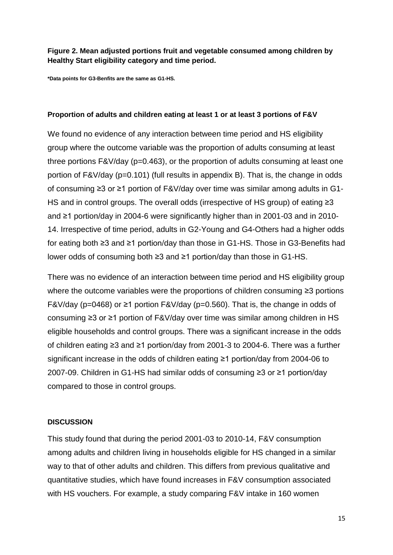#### **Figure 2. Mean adjusted portions fruit and vegetable consumed among children by Healthy Start eligibility category and time period.**

**\*Data points for G3-Benfits are the same as G1-HS.**

#### **Proportion of adults and children eating at least 1 or at least 3 portions of F&V**

We found no evidence of any interaction between time period and HS eligibility group where the outcome variable was the proportion of adults consuming at least three portions F&V/day (p=0.463), or the proportion of adults consuming at least one portion of F&V/day (p=0.101) (full results in appendix B). That is, the change in odds of consuming ≥3 or ≥1 portion of F&V/day over time was similar among adults in G1- HS and in control groups. The overall odds (irrespective of HS group) of eating ≥3 and ≥1 portion/day in 2004-6 were significantly higher than in 2001-03 and in 2010- 14. Irrespective of time period, adults in G2-Young and G4-Others had a higher odds for eating both ≥3 and ≥1 portion/day than those in G1-HS. Those in G3-Benefits had lower odds of consuming both ≥3 and ≥1 portion/day than those in G1-HS.

There was no evidence of an interaction between time period and HS eligibility group where the outcome variables were the proportions of children consuming ≥3 portions F&V/day (p=0468) or ≥1 portion F&V/day (p=0.560). That is, the change in odds of consuming ≥3 or ≥1 portion of F&V/day over time was similar among children in HS eligible households and control groups. There was a significant increase in the odds of children eating ≥3 and ≥1 portion/day from 2001-3 to 2004-6. There was a further significant increase in the odds of children eating ≥1 portion/day from 2004-06 to 2007-09. Children in G1-HS had similar odds of consuming ≥3 or ≥1 portion/day compared to those in control groups.

#### **DISCUSSION**

This study found that during the period 2001-03 to 2010-14, F&V consumption among adults and children living in households eligible for HS changed in a similar way to that of other adults and children. This differs from previous qualitative and quantitative studies, which have found increases in F&V consumption associated with HS vouchers. For example, a study comparing F&V intake in 160 women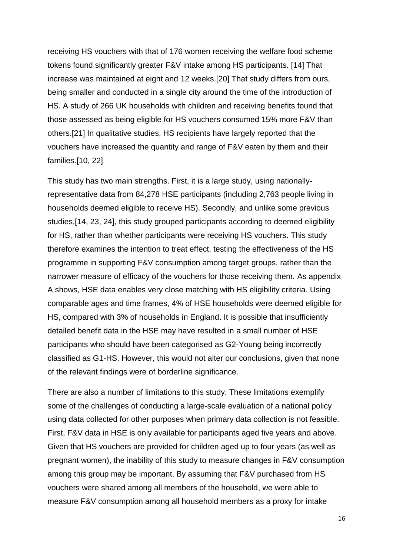receiving HS vouchers with that of 176 women receiving the welfare food scheme tokens found significantly greater F&V intake among HS participants. [14] That increase was maintained at eight and 12 weeks.[20] That study differs from ours, being smaller and conducted in a single city around the time of the introduction of HS. A study of 266 UK households with children and receiving benefits found that those assessed as being eligible for HS vouchers consumed 15% more F&V than others.[21] In qualitative studies, HS recipients have largely reported that the vouchers have increased the quantity and range of F&V eaten by them and their families.[10, 22]

This study has two main strengths. First, it is a large study, using nationallyrepresentative data from 84,278 HSE participants (including 2,763 people living in households deemed eligible to receive HS). Secondly, and unlike some previous studies,[14, 23, 24], this study grouped participants according to deemed eligibility for HS, rather than whether participants were receiving HS vouchers. This study therefore examines the intention to treat effect, testing the effectiveness of the HS programme in supporting F&V consumption among target groups, rather than the narrower measure of efficacy of the vouchers for those receiving them. As appendix A shows, HSE data enables very close matching with HS eligibility criteria. Using comparable ages and time frames, 4% of HSE households were deemed eligible for HS, compared with 3% of households in England. It is possible that insufficiently detailed benefit data in the HSE may have resulted in a small number of HSE participants who should have been categorised as G2-Young being incorrectly classified as G1-HS. However, this would not alter our conclusions, given that none of the relevant findings were of borderline significance.

There are also a number of limitations to this study. These limitations exemplify some of the challenges of conducting a large-scale evaluation of a national policy using data collected for other purposes when primary data collection is not feasible. First, F&V data in HSE is only available for participants aged five years and above. Given that HS vouchers are provided for children aged up to four years (as well as pregnant women), the inability of this study to measure changes in F&V consumption among this group may be important. By assuming that F&V purchased from HS vouchers were shared among all members of the household, we were able to measure F&V consumption among all household members as a proxy for intake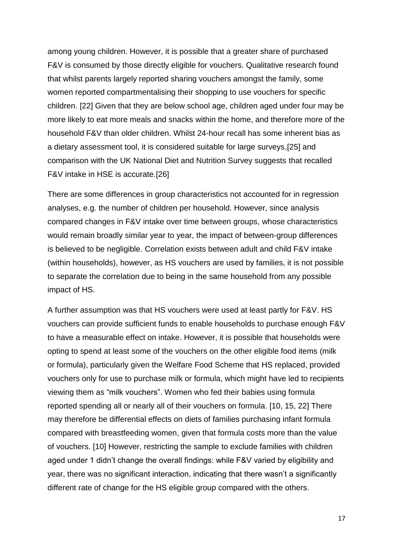among young children. However, it is possible that a greater share of purchased F&V is consumed by those directly eligible for vouchers. Qualitative research found that whilst parents largely reported sharing vouchers amongst the family, some women reported compartmentalising their shopping to use vouchers for specific children. [22] Given that they are below school age, children aged under four may be more likely to eat more meals and snacks within the home, and therefore more of the household F&V than older children. Whilst 24-hour recall has some inherent bias as a dietary assessment tool, it is considered suitable for large surveys,[25] and comparison with the UK National Diet and Nutrition Survey suggests that recalled F&V intake in HSE is accurate.[26]

There are some differences in group characteristics not accounted for in regression analyses, e.g. the number of children per household. However, since analysis compared changes in F&V intake over time between groups, whose characteristics would remain broadly similar year to year, the impact of between-group differences is believed to be negligible. Correlation exists between adult and child F&V intake (within households), however, as HS vouchers are used by families, it is not possible to separate the correlation due to being in the same household from any possible impact of HS.

A further assumption was that HS vouchers were used at least partly for F&V. HS vouchers can provide sufficient funds to enable households to purchase enough F&V to have a measurable effect on intake. However, it is possible that households were opting to spend at least some of the vouchers on the other eligible food items (milk or formula), particularly given the Welfare Food Scheme that HS replaced, provided vouchers only for use to purchase milk or formula, which might have led to recipients viewing them as "milk vouchers". Women who fed their babies using formula reported spending all or nearly all of their vouchers on formula. [10, 15, 22] There may therefore be differential effects on diets of families purchasing infant formula compared with breastfeeding women, given that formula costs more than the value of vouchers. [10] However, restricting the sample to exclude families with children aged under 1 didn't change the overall findings: while F&V varied by eligibility and year, there was no significant interaction, indicating that there wasn't a significantly different rate of change for the HS eligible group compared with the others.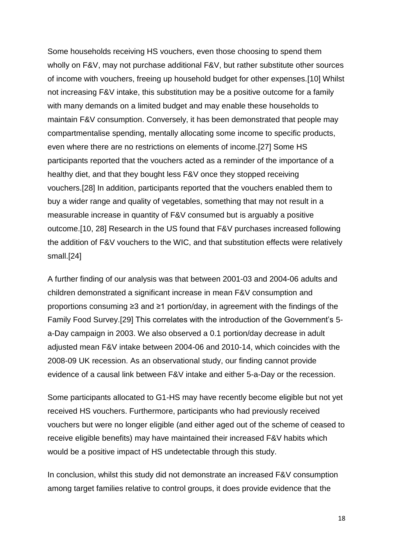Some households receiving HS vouchers, even those choosing to spend them wholly on F&V, may not purchase additional F&V, but rather substitute other sources of income with vouchers, freeing up household budget for other expenses.[10] Whilst not increasing F&V intake, this substitution may be a positive outcome for a family with many demands on a limited budget and may enable these households to maintain F&V consumption. Conversely, it has been demonstrated that people may compartmentalise spending, mentally allocating some income to specific products, even where there are no restrictions on elements of income.[27] Some HS participants reported that the vouchers acted as a reminder of the importance of a healthy diet, and that they bought less F&V once they stopped receiving vouchers.[28] In addition, participants reported that the vouchers enabled them to buy a wider range and quality of vegetables, something that may not result in a measurable increase in quantity of F&V consumed but is arguably a positive outcome.[10, 28] Research in the US found that F&V purchases increased following the addition of F&V vouchers to the WIC, and that substitution effects were relatively small.[24]

A further finding of our analysis was that between 2001-03 and 2004-06 adults and children demonstrated a significant increase in mean F&V consumption and proportions consuming ≥3 and ≥1 portion/day, in agreement with the findings of the Family Food Survey.[29] This correlates with the introduction of the Government's 5 a-Day campaign in 2003. We also observed a 0.1 portion/day decrease in adult adjusted mean F&V intake between 2004-06 and 2010-14, which coincides with the 2008-09 UK recession. As an observational study, our finding cannot provide evidence of a causal link between F&V intake and either 5-a-Day or the recession.

Some participants allocated to G1-HS may have recently become eligible but not yet received HS vouchers. Furthermore, participants who had previously received vouchers but were no longer eligible (and either aged out of the scheme of ceased to receive eligible benefits) may have maintained their increased F&V habits which would be a positive impact of HS undetectable through this study.

In conclusion, whilst this study did not demonstrate an increased F&V consumption among target families relative to control groups, it does provide evidence that the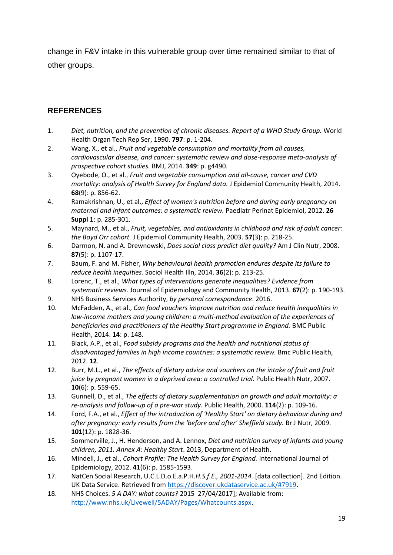change in F&V intake in this vulnerable group over time remained similar to that of other groups.

## **REFERENCES**

- 1. *Diet, nutrition, and the prevention of chronic diseases. Report of a WHO Study Group.* World Health Organ Tech Rep Ser, 1990. **797**: p. 1-204.
- 2. Wang, X., et al., *Fruit and vegetable consumption and mortality from all causes, cardiovascular disease, and cancer: systematic review and dose-response meta-analysis of prospective cohort studies.* BMJ, 2014. **349**: p. g4490.
- 3. Oyebode, O., et al., *Fruit and vegetable consumption and all-cause, cancer and CVD mortality: analysis of Health Survey for England data.* J Epidemiol Community Health, 2014. **68**(9): p. 856-62.
- 4. Ramakrishnan, U., et al., *Effect of women's nutrition before and during early pregnancy on maternal and infant outcomes: a systematic review.* Paediatr Perinat Epidemiol, 2012. **26 Suppl 1**: p. 285-301.
- 5. Maynard, M., et al., *Fruit, vegetables, and antioxidants in childhood and risk of adult cancer: the Boyd Orr cohort.* J Epidemiol Community Health, 2003. **57**(3): p. 218-25.
- 6. Darmon, N. and A. Drewnowski, *Does social class predict diet quality?* Am J Clin Nutr, 2008. **87**(5): p. 1107-17.
- 7. Baum, F. and M. Fisher, *Why behavioural health promotion endures despite its failure to reduce health inequities.* Sociol Health Illn, 2014. **36**(2): p. 213-25.
- 8. Lorenc, T., et al., *What types of interventions generate inequalities? Evidence from systematic reviews.* Journal of Epidemiology and Community Health, 2013. **67**(2): p. 190-193.
- 9. NHS Business Services Authority, *by personal correspondance*. 2016.
- 10. McFadden, A., et al., *Can food vouchers improve nutrition and reduce health inequalities in low-income mothers and young children: a multi-method evaluation of the experiences of beneficiaries and practitioners of the Healthy Start programme in England.* BMC Public Health, 2014. **14**: p. 148.
- 11. Black, A.P., et al., *Food subsidy programs and the health and nutritional status of disadvantaged families in high income countries: a systematic review.* Bmc Public Health, 2012. **12**.
- 12. Burr, M.L., et al., *The effects of dietary advice and vouchers on the intake of fruit and fruit juice by pregnant women in a deprived area: a controlled trial.* Public Health Nutr, 2007. **10**(6): p. 559-65.
- 13. Gunnell, D., et al., *The effects of dietary supplementation on growth and adult mortality: a re-analysis and follow-up of a pre-war study.* Public Health, 2000. **114**(2): p. 109-16.
- 14. Ford, F.A., et al., *Effect of the introduction of 'Healthy Start' on dietary behaviour during and after pregnancy: early results from the 'before and after' Sheffield study.* Br J Nutr, 2009. **101**(12): p. 1828-36.
- 15. Sommerville, J., H. Henderson, and A. Lennox, *Diet and nutrition survey of infants and young children, 2011. Annex A: Healthy Start*. 2013, Department of Health.
- 16. Mindell, J., et al., *Cohort Profile: The Health Survey for England.* International Journal of Epidemiology, 2012. **41**(6): p. 1585-1593.
- 17. NatCen Social Research, U.C.L.D.o.E.a.P.H.*H.S.f.E., 2001-2014.* [data collection]. 2nd Edition. UK Data Service. Retrieved from [https://discover.ukdataservice.ac.uk/#7919.](https://discover.ukdataservice.ac.uk/#7919)
- 18. NHS Choices. *5 A DAY: what counts?* 2015 27/04/2017]; Available from: [http://www.nhs.uk/Livewell/5ADAY/Pages/Whatcounts.aspx.](http://www.nhs.uk/Livewell/5ADAY/Pages/Whatcounts.aspx)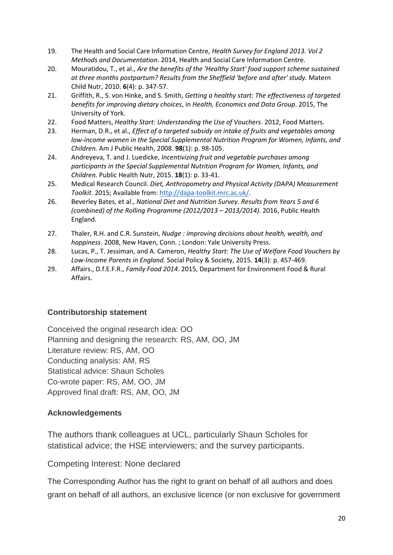- 19. The Health and Social Care Information Centre, *Health Survey for England 2013. Vol 2 Methods and Documentation*. 2014, Health and Social Care Information Centre.
- 20. Mouratidou, T., et al., *Are the benefits of the 'Healthy Start' food support scheme sustained at three months postpartum? Results from the Sheffield 'before and after' study.* Matern Child Nutr, 2010. **6**(4): p. 347-57.
- 21. Griffith, R., S. von Hinke, and S. Smith, *Getting a healthy start: The effectiveness of targeted benefits for improving dietary choices*, in *Health, Economics and Data Group*. 2015, The University of York.
- 22. Food Matters, *Healthy Start: Understanding the Use of Vouchers*. 2012, Food Matters.
- 23. Herman, D.R., et al., *Effect of a targeted subsidy on intake of fruits and vegetables among low-income women in the Special Supplemental Nutrition Program for Women, Infants, and Children.* Am J Public Health, 2008. **98**(1): p. 98-105.
- 24. Andreyeva, T. and J. Luedicke, *Incentivizing fruit and vegetable purchases among participants in the Special Supplemental Nutrition Program for Women, Infants, and Children.* Public Health Nutr, 2015. **18**(1): p. 33-41.
- 25. Medical Research Council. *Diet, Anthropometry and Physical Activity (DAPA) Measurement Toolkit*. 2015; Available from: [http://dapa-toolkit.mrc.ac.uk/.](http://dapa-toolkit.mrc.ac.uk/)
- 26. Beverley Bates, et al., *National Diet and Nutrition Survey. Results from Years 5 and 6 (combined) of the Rolling Programme (2012/2013 – 2013/2014)*. 2016, Public Health England.
- 27. Thaler, R.H. and C.R. Sunstein, *Nudge : improving decisions about health, wealth, and happiness*. 2008, New Haven, Conn. ; London: Yale University Press.
- 28. Lucas, P., T. Jessiman, and A. Cameron, *Healthy Start: The Use of Welfare Food Vouchers by Low-Income Parents in England.* Social Policy & Society, 2015. **14**(3): p. 457-469.
- 29. Affairs., D.f.E.F.R., *Family Food 2014*. 2015, Department for Environment Food & Rural Affairs.

## **Contributorship statement**

Conceived the original research idea: OO Planning and designing the research: RS, AM, OO, JM Literature review: RS, AM, OO Conducting analysis: AM, RS Statistical advice: Shaun Scholes Co-wrote paper: RS, AM, OO, JM Approved final draft: RS, AM, OO, JM

## **Acknowledgements**

The authors thank colleagues at UCL, particularly Shaun Scholes for statistical advice; the HSE interviewers; and the survey participants.

Competing Interest: None declared

The Corresponding Author has the right to grant on behalf of all authors and does grant on behalf of all authors, an exclusive licence (or non exclusive for government